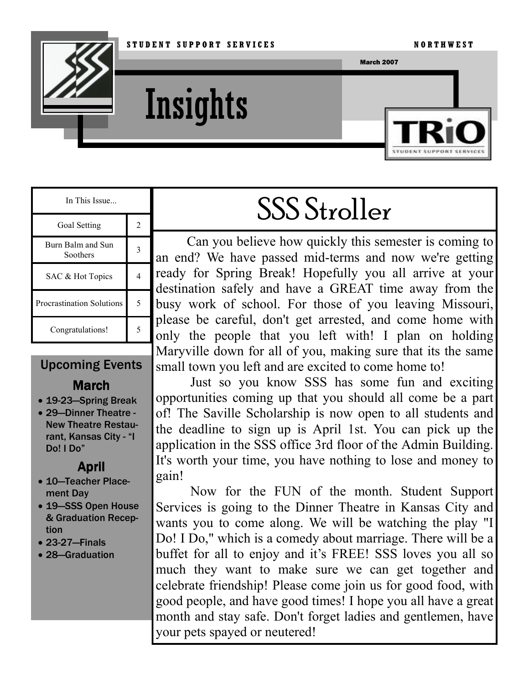

Insights



| In This Issue                    |   |
|----------------------------------|---|
| Goal Setting                     | 2 |
| Burn Balm and Sun<br>Soothers    |   |
| SAC & Hot Topics                 |   |
| <b>Procrastination Solutions</b> |   |
| Congratulations!                 |   |

## Upcoming Events

### **March**

- 19-23—Spring Break
- 29—Dinner Theatre New Theatre Restaurant, Kansas City - "I Do! I Do"

#### April

- 10—Teacher Placement Day
- 19—SSS Open House & Graduation Reception
- 23-27—Finals
- 28—Graduation

# SSS Stroller

Can you believe how quickly this semester is coming to an end? We have passed mid-terms and now we're getting ready for Spring Break! Hopefully you all arrive at your destination safely and have a GREAT time away from the busy work of school. For those of you leaving Missouri, please be careful, don't get arrested, and come home with only the people that you left with! I plan on holding Maryville down for all of you, making sure that its the same small town you left and are excited to come home to!

 Just so you know SSS has some fun and exciting opportunities coming up that you should all come be a part of! The Saville Scholarship is now open to all students and the deadline to sign up is April 1st. You can pick up the application in the SSS office 3rd floor of the Admin Building. It's worth your time, you have nothing to lose and money to gain!

 Now for the FUN of the month. Student Support Services is going to the Dinner Theatre in Kansas City and wants you to come along. We will be watching the play "I Do! I Do," which is a comedy about marriage. There will be a buffet for all to enjoy and it's FREE! SSS loves you all so much they want to make sure we can get together and celebrate friendship! Please come join us for good food, with good people, and have good times! I hope you all have a great month and stay safe. Don't forget ladies and gentlemen, have your pets spayed or neutered!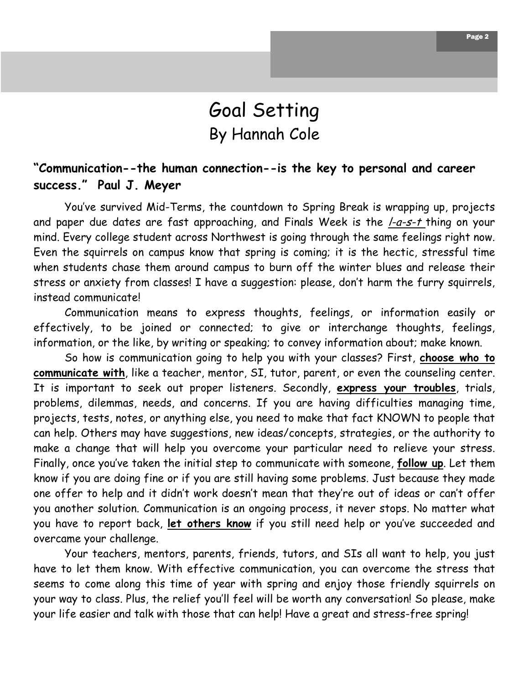## Goal Setting By Hannah Cole

#### "Communication--the human connection--is the key to personal and career success." Paul J. Meyer

 You've survived Mid-Terms, the countdown to Spring Break is wrapping up, projects and paper due dates are fast approaching, and Finals Week is the *I-a-s-t* thing on your mind. Every college student across Northwest is going through the same feelings right now. Even the squirrels on campus know that spring is coming; it is the hectic, stressful time when students chase them around campus to burn off the winter blues and release their stress or anxiety from classes! I have a suggestion: please, don't harm the furry squirrels, instead communicate!

 Communication means to express thoughts, feelings, or information easily or effectively, to be joined or connected; to give or interchange thoughts, feelings, information, or the like, by writing or speaking; to convey information about; make known.

So how is communication going to help you with your classes? First, choose who to communicate with, like a teacher, mentor, SI, tutor, parent, or even the counseling center. It is important to seek out proper listeners. Secondly, express your troubles, trials, problems, dilemmas, needs, and concerns. If you are having difficulties managing time, projects, tests, notes, or anything else, you need to make that fact KNOWN to people that can help. Others may have suggestions, new ideas/concepts, strategies, or the authority to make a change that will help you overcome your particular need to relieve your stress. Finally, once you've taken the initial step to communicate with someone, follow up. Let them know if you are doing fine or if you are still having some problems. Just because they made one offer to help and it didn't work doesn't mean that they're out of ideas or can't offer you another solution. Communication is an ongoing process, it never stops. No matter what you have to report back, let others know if you still need help or you've succeeded and overcame your challenge.

 Your teachers, mentors, parents, friends, tutors, and SIs all want to help, you just have to let them know. With effective communication, you can overcome the stress that seems to come along this time of year with spring and enjoy those friendly squirrels on your way to class. Plus, the relief you'll feel will be worth any conversation! So please, make your life easier and talk with those that can help! Have a great and stress-free spring!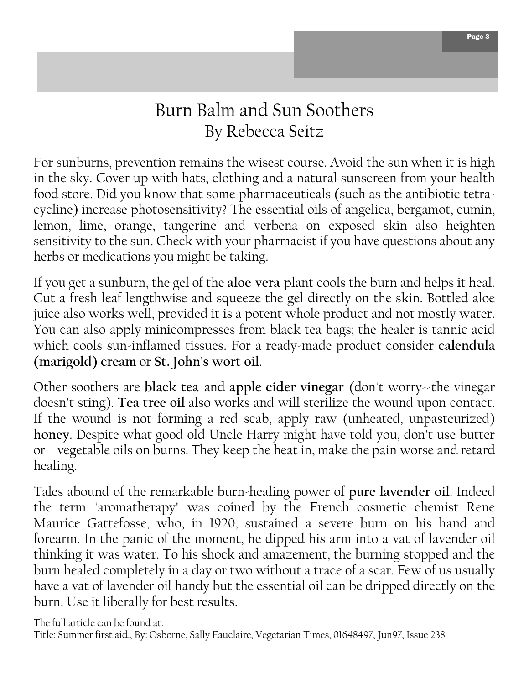## Burn Balm and Sun Soothers By Rebecca Seitz

For sunburns, prevention remains the wisest course. Avoid the sun when it is high in the sky. Cover up with hats, clothing and a natural sunscreen from your health food store. Did you know that some pharmaceuticals (such as the antibiotic tetracycline) increase photosensitivity? The essential oils of angelica, bergamot, cumin, lemon, lime, orange, tangerine and verbena on exposed skin also heighten sensitivity to the sun. Check with your pharmacist if you have questions about any herbs or medications you might be taking.

If you get a sunburn, the gel of the aloe vera plant cools the burn and helps it heal. Cut a fresh leaf lengthwise and squeeze the gel directly on the skin. Bottled aloe juice also works well, provided it is a potent whole product and not mostly water. You can also apply minicompresses from black tea bags; the healer is tannic acid which cools sun-inflamed tissues. For a ready-made product consider calendula (marigold) cream or St. John's wort oil.

Other soothers are black tea and apple cider vinegar (don't worry--the vinegar doesn't sting). Tea tree oil also works and will sterilize the wound upon contact. If the wound is not forming a red scab, apply raw (unheated, unpasteurized) honey. Despite what good old Uncle Harry might have told you, don't use butter or vegetable oils on burns. They keep the heat in, make the pain worse and retard healing.

Tales abound of the remarkable burn-healing power of pure lavender oil. Indeed the term "aromatherapy" was coined by the French cosmetic chemist Rene Maurice Gattefosse, who, in 1920, sustained a severe burn on his hand and forearm. In the panic of the moment, he dipped his arm into a vat of lavender oil thinking it was water. To his shock and amazement, the burning stopped and the burn healed completely in a day or two without a trace of a scar. Few of us usually have a vat of lavender oil handy but the essential oil can be dripped directly on the burn. Use it liberally for best results.

The full article can be found at: Title: Summer first aid., By: Osborne, Sally Eauclaire, Vegetarian Times, 01648497, Jun97, Issue 238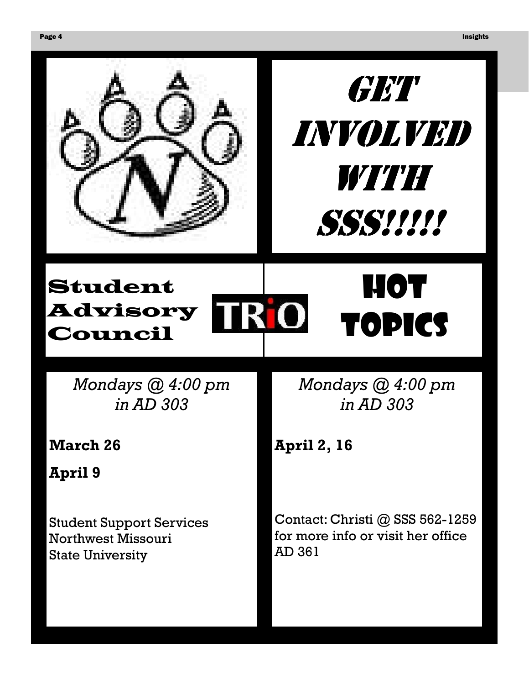



# Student Advisory Council

Mondays @ 4:00 pm in AD 303

March 26

April 9

Student Support Services Northwest Missouri State University

Mondays @ 4:00 pm in AD 303

**HOT** 

TOPICS

April 2, 16

Contact: Christi @ SSS 562-1259 for more info or visit her office AD 361